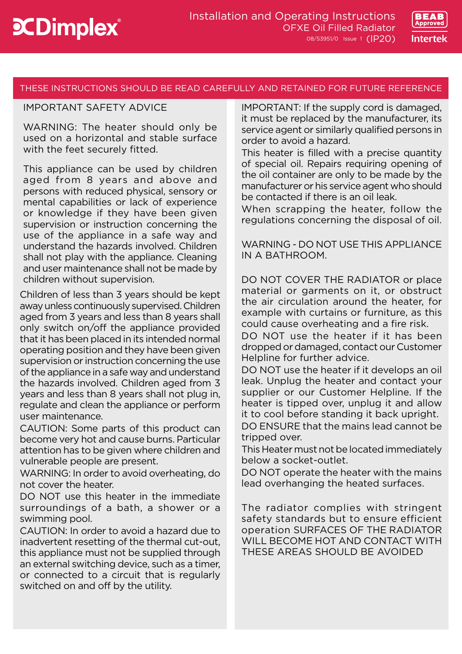

# THESE INSTRUCTIONS SHOULD BE READ CAREFULLY AND RETAINED FOR FUTURE REFERENCE

# IMPORTANT SAFETY ADVICE

WARNING: The heater should only be used on a horizontal and stable surface with the feet securely fitted.

This appliance can be used by children aged from 8 years and above and persons with reduced physical, sensory or mental capabilities or lack of experience or knowledge if they have been given supervision or instruction concerning the use of the appliance in a safe way and understand the hazards involved. Children shall not play with the appliance. Cleaning and user maintenance shall not be made by children without supervision.

Children of less than 3 years should be kept away unless continuously supervised. Children aged from 3 years and less than 8 years shall only switch on/off the appliance provided that it has been placed in its intended normal operating position and they have been given supervision or instruction concerning the use of the appliance in a safe way and understand the hazards involved. Children aged from 3 years and less than 8 years shall not plug in, regulate and clean the appliance or perform user maintenance.

CAUTION: Some parts of this product can become very hot and cause burns. Particular attention has to be given where children and vulnerable people are present.

WARNING: In order to avoid overheating, do not cover the heater.

DO NOT use this heater in the immediate surroundings of a bath, a shower or a swimming pool.

CAUTION: In order to avoid a hazard due to inadvertent resetting of the thermal cut-out, this appliance must not be supplied through an external switching device, such as a timer, or connected to a circuit that is regularly switched on and off by the utility.

IMPORTANT: If the supply cord is damaged, it must be replaced by the manufacturer, its service agent or similarly qualified persons in order to avoid a hazard.

This heater is filled with a precise quantity of special oil. Repairs requiring opening of the oil container are only to be made by the manufacturer or his service agent who should be contacted if there is an oil leak.

When scrapping the heater, follow the regulations concerning the disposal of oil.

WARNING - DO NOT USE THIS APPLIANCE IN A BATHROOM.

DO NOT COVER THE RADIATOR or place material or garments on it, or obstruct the air circulation around the heater, for example with curtains or furniture, as this could cause overheating and a fire risk.

DO NOT use the heater if it has been dropped or damaged, contact our Customer Helpline for further advice.

DO NOT use the heater if it develops an oil leak. Unplug the heater and contact your supplier or our Customer Helpline. If the heater is tipped over, unplug it and allow it to cool before standing it back upright.

DO ENSURE that the mains lead cannot be tripped over.

This Heater must not be located immediately below a socket-outlet.

DO NOT operate the heater with the mains lead overhanging the heated surfaces.

The radiator complies with stringent safety standards but to ensure efficient operation SURFACES OF THE RADIATOR WILL BECOME HOT AND CONTACT WITH THESE AREAS SHOULD BE AVOIDED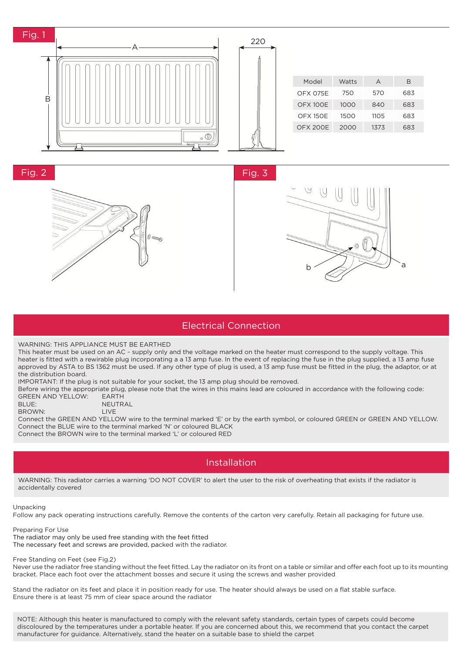

#### Electrical Connection

 $\sim$  and  $\sim$  and  $\sim$ 

WARNING: THIS APPLIANCE MUST BE EARTHED

This heater must be used on an AC ~ supply only and the voltage marked on the heater must correspond to the supply voltage. This heater is fitted with a rewirable plug incorporating a a 13 amp fuse. In the event of replacing the fuse in the plug supplied, a 13 amp fuse approved by ASTA to BS 1362 must be used. If any other type of plug is used, a 13 amp fuse must be fitted in the plug, the adaptor, or at the distribution board.

IMPORTANT: If the plug is not suitable for your socket, the 13 amp plug should be removed.

Before wiring the appropriate plug, please note that the wires in this mains lead are coloured in accordance with the following code: GREEN AND YELLOW: EARTH

| BLUE:  | NEUTRAL     |
|--------|-------------|
| BROWN: | <b>IIVE</b> |

Connect the GREEN AND YELLOW wire to the terminal marked 'E' or by the earth symbol, or coloured GREEN or GREEN AND YELLOW. Connect the BLUE wire to the terminal marked 'N' or coloured BLACK

Connect the BROWN wire to the terminal marked 'L' or coloured RED

### Installation

WARNING: This radiator carries a warning 'DO NOT COVER' to alert the user to the risk of overheating that exists if the radiator is accidentally covered

Unpacking

Follow any pack operating instructions carefully. Remove the contents of the carton very carefully. Retain all packaging for future use.

Preparing For Use The radiator may only be used free standing with the feet fitted The necessary feet and screws are provided, packed with the radiator.

Free Standing on Feet (see Fig.2)

Never use the radiator free standing without the feet fitted. Lay the radiator on its front on a table or similar and offer each foot up to its mounting bracket. Place each foot over the attachment bosses and secure it using the screws and washer provided

Stand the radiator on its feet and place it in position ready for use. The heater should always be used on a flat stable surface. Ensure there is at least 75 mm of clear space around the radiator

NOTE: Although this heater is manufactured to comply with the relevant safety standards, certain types of carpets could become discoloured by the temperatures under a portable heater. If you are concerned about this, we recommend that you contact the carpet manufacturer for guidance. Alternatively, stand the heater on a suitable base to shield the carpet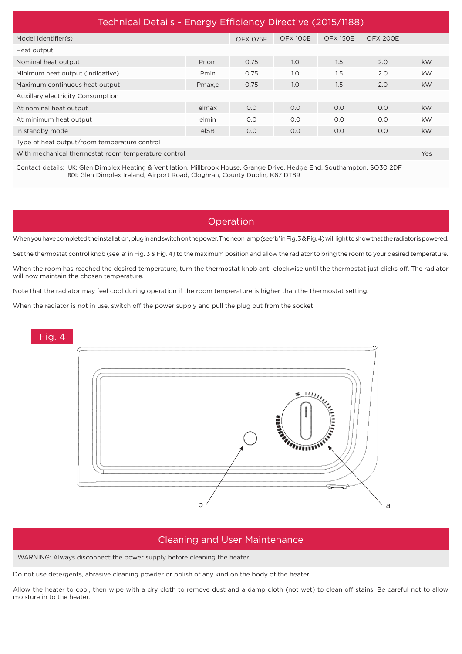| Technical Details - Energy Efficiency Directive (2015/1188)                                                              |        |          |          |                 |                 |           |  |
|--------------------------------------------------------------------------------------------------------------------------|--------|----------|----------|-----------------|-----------------|-----------|--|
| Model Identifier(s)                                                                                                      |        | OFX 075E | OFX 100E | <b>OFX 150E</b> | <b>OFX 200E</b> |           |  |
| Heat output                                                                                                              |        |          |          |                 |                 |           |  |
| Nominal heat output                                                                                                      | Pnom   | 0.75     | 1.0      | 1.5             | 2.0             | <b>kW</b> |  |
| Minimum heat output (indicative)                                                                                         | Pmin   | 0.75     | 1.0      | 1.5             | 2.0             | <b>kW</b> |  |
| Maximum continuous heat output                                                                                           | Pmax,c | 0.75     | 1.0      | 1.5             | 2.0             | <b>kW</b> |  |
| <b>Auxillary electricity Consumption</b>                                                                                 |        |          |          |                 |                 |           |  |
| At nominal heat output                                                                                                   | elmax  | O.O      | O.O      | 0.0             | O.O             | <b>kW</b> |  |
| At minimum heat output                                                                                                   | elmin  | O.O      | O.O      | O.O             | 0.0             | <b>kW</b> |  |
| In standby mode                                                                                                          | elSB   | O.O      | O.O      | O.O             | O.O             | <b>kW</b> |  |
| Type of heat output/room temperature control                                                                             |        |          |          |                 |                 |           |  |
| With mechanical thermostat room temperature control                                                                      |        |          |          |                 |                 | Yes       |  |
| Contact details: UK: Glen Dimplex Heating & Ventilation, Millbrook House, Grange Drive, Hedge End, Southampton, SO30 2DF |        |          |          |                 |                 |           |  |

# Operation

When you have completed the installation, plug in and switch on the power. The neon lamp (see 'b' in Fig. 3 & Fig. 4) will light to show that the radiator is powered.

Set the thermostat control knob (see 'a' in Fig. 3 & Fig. 4) to the maximum position and allow the radiator to bring the room to your desired temperature.

When the room has reached the desired temperature, turn the thermostat knob anti-clockwise until the thermostat just clicks off. The radiator will now maintain the chosen temperature.

Note that the radiator may feel cool during operation if the room temperature is higher than the thermostat setting.

When the radiator is not in use, switch off the power supply and pull the plug out from the socket

ROI: Glen Dimplex Ireland, Airport Road, Cloghran, County Dublin, K67 DT89



#### Cleaning and User Maintenance

WARNING: Always disconnect the power supply before cleaning the heater

Do not use detergents, abrasive cleaning powder or polish of any kind on the body of the heater.

Allow the heater to cool, then wipe with a dry cloth to remove dust and a damp cloth (not wet) to clean off stains. Be careful not to allow moisture in to the heater.